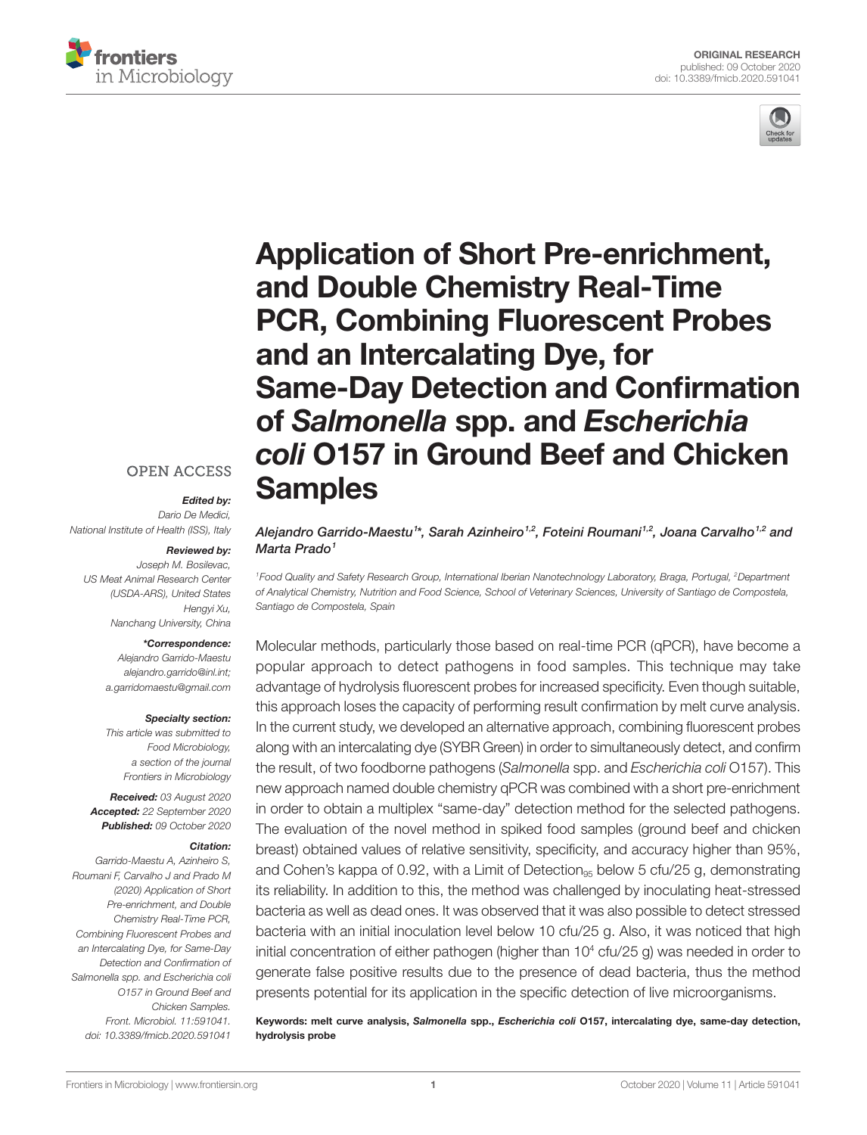



# [Application of Short Pre-enrichment,](https://www.frontiersin.org/articles/10.3389/fmicb.2020.591041/full)  [and Double Chemistry Real-Time](https://www.frontiersin.org/articles/10.3389/fmicb.2020.591041/full)  [PCR, Combining Fluorescent Probes](https://www.frontiersin.org/articles/10.3389/fmicb.2020.591041/full)  [and an Intercalating Dye, for](https://www.frontiersin.org/articles/10.3389/fmicb.2020.591041/full)  [Same-Day Detection and Confirmation](https://www.frontiersin.org/articles/10.3389/fmicb.2020.591041/full)  of *Salmonella* spp. and *[Escherichia](https://www.frontiersin.org/articles/10.3389/fmicb.2020.591041/full)  coli* [O157 in Ground Beef and Chicken](https://www.frontiersin.org/articles/10.3389/fmicb.2020.591041/full)  [Samples](https://www.frontiersin.org/articles/10.3389/fmicb.2020.591041/full)

Alejandro Garrido-Maestu<sup>1</sup>\*, Sarah Azinheiro<sup>1,2</sup>, Foteini Roumani<sup>1,2</sup>, Joana Carvalho<sup>1,2</sup> and *Marta Prado1*

*1Food Quality and Safety Research Group, International Iberian Nanotechnology Laboratory, Braga, Portugal, 2Department of Analytical Chemistry, Nutrition and Food Science, School of Veterinary Sciences, University of Santiago de Compostela, Santiago de Compostela, Spain*

Molecular methods, particularly those based on real-time PCR (qPCR), have become a popular approach to detect pathogens in food samples. This technique may take advantage of hydrolysis fluorescent probes for increased specificity. Even though suitable, this approach loses the capacity of performing result confirmation by melt curve analysis. In the current study, we developed an alternative approach, combining fluorescent probes along with an intercalating dye (SYBR Green) in order to simultaneously detect, and confirm the result, of two foodborne pathogens (*Salmonella* spp. and *Escherichia coli* O157). This new approach named double chemistry qPCR was combined with a short pre-enrichment in order to obtain a multiplex "same-day" detection method for the selected pathogens. The evaluation of the novel method in spiked food samples (ground beef and chicken breast) obtained values of relative sensitivity, specificity, and accuracy higher than 95%, and Cohen's kappa of 0.92, with a Limit of Detection<sub>95</sub> below 5 cfu/25 g, demonstrating its reliability. In addition to this, the method was challenged by inoculating heat-stressed bacteria as well as dead ones. It was observed that it was also possible to detect stressed bacteria with an initial inoculation level below 10 cfu/25 g. Also, it was noticed that high initial concentration of either pathogen (higher than 10<sup>4</sup> cfu/25 g) was needed in order to generate false positive results due to the presence of dead bacteria, thus the method presents potential for its application in the specific detection of live microorganisms.

Keywords: melt curve analysis, *Salmonella* spp., *Escherichia coli* O157, intercalating dye, same-day detection, hydrolysis probe

# **OPEN ACCESS**

# *Edited by:*

*Dario De Medici, National Institute of Health (ISS), Italy*

#### *Reviewed by:*

*Joseph M. Bosilevac, US Meat Animal Research Center (USDA-ARS), United States Hengyi Xu, Nanchang University, China*

#### *\*Correspondence:*

*Alejandro Garrido-Maestu [alejandro.garrido@inl.int;](mailto:alejandro.garrido@inl.int) [a.garridomaestu@gmail.com](mailto:a.garridomaestu@gmail.com)*

#### *Specialty section:*

*This article was submitted to Food Microbiology, a section of the journal Frontiers in Microbiology*

*Received: 03 August 2020 Accepted: 22 September 2020 Published: 09 October 2020*

#### *Citation:*

*Garrido-Maestu A, Azinheiro S, Roumani F, Carvalho J and Prado M (2020) Application of Short Pre-enrichment, and Double Chemistry Real-Time PCR, Combining Fluorescent Probes and an Intercalating Dye, for Same-Day Detection and Confirmation of Salmonella spp. and Escherichia coli O157 in Ground Beef and Chicken Samples. Front. Microbiol. 11:591041. [doi: 10.3389/fmicb.2020.591041](https://doi.org/10.3389/fmicb.2020.591041)*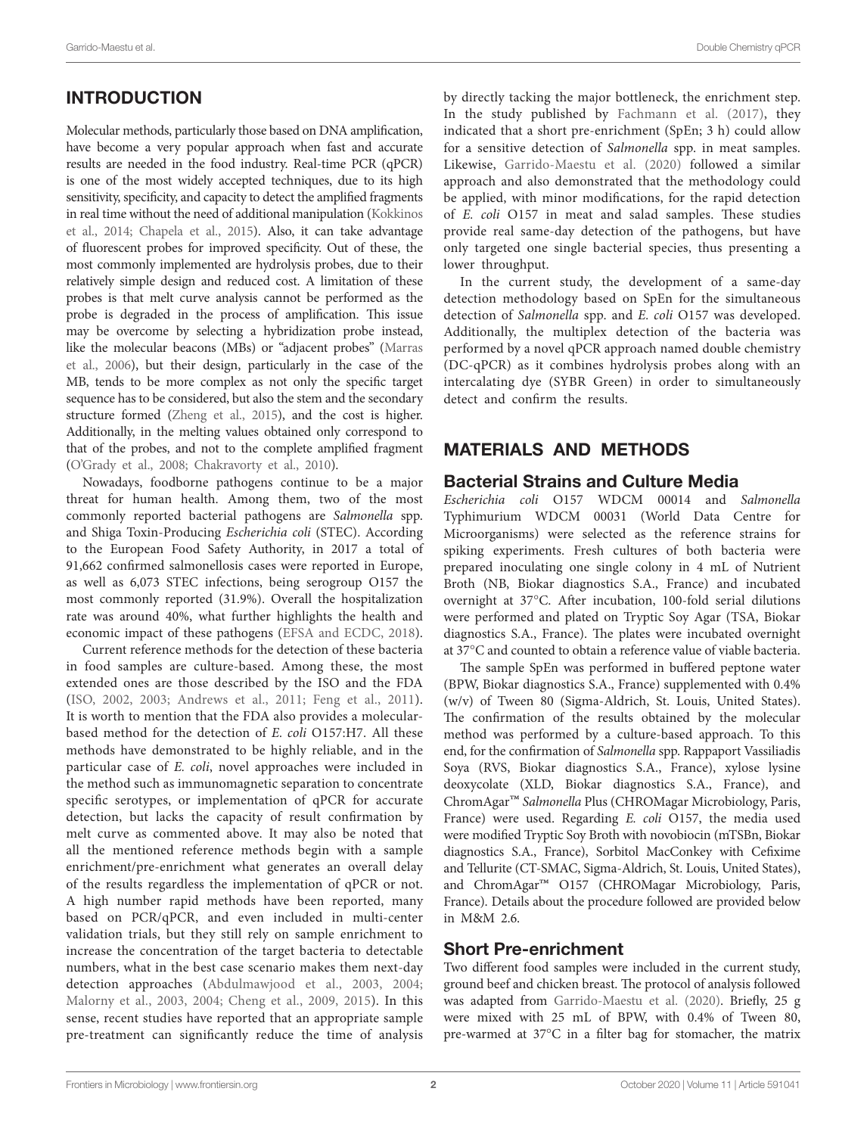# INTRODUCTION

Molecular methods, particularly those based on DNA amplification, have become a very popular approach when fast and accurate results are needed in the food industry. Real-time PCR (qPCR) is one of the most widely accepted techniques, due to its high sensitivity, specificity, and capacity to detect the amplified fragments in real time without the need of additional manipulation [\(Kokkinos](#page-7-0)  [et al., 2014](#page-7-0); [Chapela et al., 2015\)](#page-7-1). Also, it can take advantage of fluorescent probes for improved specificity. Out of these, the most commonly implemented are hydrolysis probes, due to their relatively simple design and reduced cost. A limitation of these probes is that melt curve analysis cannot be performed as the probe is degraded in the process of amplification. This issue may be overcome by selecting a hybridization probe instead, like the molecular beacons (MBs) or "adjacent probes" [\(Marras](#page-7-2)  [et al., 2006\)](#page-7-2), but their design, particularly in the case of the MB, tends to be more complex as not only the specific target sequence has to be considered, but also the stem and the secondary structure formed [\(Zheng et al., 2015\)](#page-7-3), and the cost is higher. Additionally, in the melting values obtained only correspond to that of the probes, and not to the complete amplified fragment ([O'Grady et al., 2008](#page-7-4); [Chakravorty et al., 2010](#page-6-0)).

Nowadays, foodborne pathogens continue to be a major threat for human health. Among them, two of the most commonly reported bacterial pathogens are *Salmonella* spp. and Shiga Toxin-Producing *Escherichia coli* (STEC). According to the European Food Safety Authority, in 2017 a total of 91,662 confirmed salmonellosis cases were reported in Europe, as well as 6,073 STEC infections, being serogroup O157 the most commonly reported (31.9%). Overall the hospitalization rate was around 40%, what further highlights the health and economic impact of these pathogens [\(EFSA and ECDC, 2018](#page-7-5)).

Current reference methods for the detection of these bacteria in food samples are culture-based. Among these, the most extended ones are those described by the ISO and the FDA ([ISO, 2002](#page-7-6), [2003;](#page-7-7) [Andrews et al., 2011;](#page-6-1) [Feng et al., 2011](#page-7-8)). It is worth to mention that the FDA also provides a molecularbased method for the detection of *E. coli* O157:H7. All these methods have demonstrated to be highly reliable, and in the particular case of *E. coli*, novel approaches were included in the method such as immunomagnetic separation to concentrate specific serotypes, or implementation of qPCR for accurate detection, but lacks the capacity of result confirmation by melt curve as commented above. It may also be noted that all the mentioned reference methods begin with a sample enrichment/pre-enrichment what generates an overall delay of the results regardless the implementation of qPCR or not. A high number rapid methods have been reported, many based on PCR/qPCR, and even included in multi-center validation trials, but they still rely on sample enrichment to increase the concentration of the target bacteria to detectable numbers, what in the best case scenario makes them next-day detection approaches ([Abdulmawjood et al., 2003,](#page-6-2) [2004](#page-6-3); [Malorny et al., 2003,](#page-7-9) [2004](#page-7-10); [Cheng et al., 2009](#page-7-11), [2015\)](#page-7-12). In this sense, recent studies have reported that an appropriate sample pre-treatment can significantly reduce the time of analysis by directly tacking the major bottleneck, the enrichment step. In the study published by [Fachmann et al. \(2017\),](#page-7-13) they indicated that a short pre-enrichment (SpEn; 3 h) could allow for a sensitive detection of *Salmonella* spp. in meat samples. Likewise, [Garrido-Maestu et al. \(2020\)](#page-7-14) followed a similar approach and also demonstrated that the methodology could be applied, with minor modifications, for the rapid detection of *E. coli* O157 in meat and salad samples. These studies provide real same-day detection of the pathogens, but have only targeted one single bacterial species, thus presenting a lower throughput.

In the current study, the development of a same-day detection methodology based on SpEn for the simultaneous detection of *Salmonella* spp. and *E. coli* O157 was developed. Additionally, the multiplex detection of the bacteria was performed by a novel qPCR approach named double chemistry (DC-qPCR) as it combines hydrolysis probes along with an intercalating dye (SYBR Green) in order to simultaneously detect and confirm the results.

# MATERIALS AND METHODS

# Bacterial Strains and Culture Media

*Escherichia coli* O157 WDCM 00014 and *Salmonella* Typhimurium WDCM 00031 (World Data Centre for Microorganisms) were selected as the reference strains for spiking experiments. Fresh cultures of both bacteria were prepared inoculating one single colony in 4 mL of Nutrient Broth (NB, Biokar diagnostics S.A., France) and incubated overnight at 37°C. After incubation, 100-fold serial dilutions were performed and plated on Tryptic Soy Agar (TSA, Biokar diagnostics S.A., France). The plates were incubated overnight at 37°C and counted to obtain a reference value of viable bacteria.

The sample SpEn was performed in buffered peptone water (BPW, Biokar diagnostics S.A., France) supplemented with 0.4% (w/v) of Tween 80 (Sigma-Aldrich, St. Louis, United States). The confirmation of the results obtained by the molecular method was performed by a culture-based approach. To this end, for the confirmation of *Salmonella* spp. Rappaport Vassiliadis Soya (RVS, Biokar diagnostics S.A., France), xylose lysine deoxycolate (XLD, Biokar diagnostics S.A., France), and ChromAgar™ *Salmonella* Plus (CHROMagar Microbiology, Paris, France) were used. Regarding *E. coli* O157, the media used were modified Tryptic Soy Broth with novobiocin (mTSBn, Biokar diagnostics S.A., France), Sorbitol MacConkey with Cefixime and Tellurite (CT-SMAC, Sigma-Aldrich, St. Louis, United States), and ChromAgar™ O157 (CHROMagar Microbiology, Paris, France). Details about the procedure followed are provided below in M&M 2.6.

# Short Pre-enrichment

Two different food samples were included in the current study, ground beef and chicken breast. The protocol of analysis followed was adapted from [Garrido-Maestu et al. \(2020\).](#page-7-14) Briefly, 25 g were mixed with 25 mL of BPW, with 0.4% of Tween 80, pre-warmed at 37°C in a filter bag for stomacher, the matrix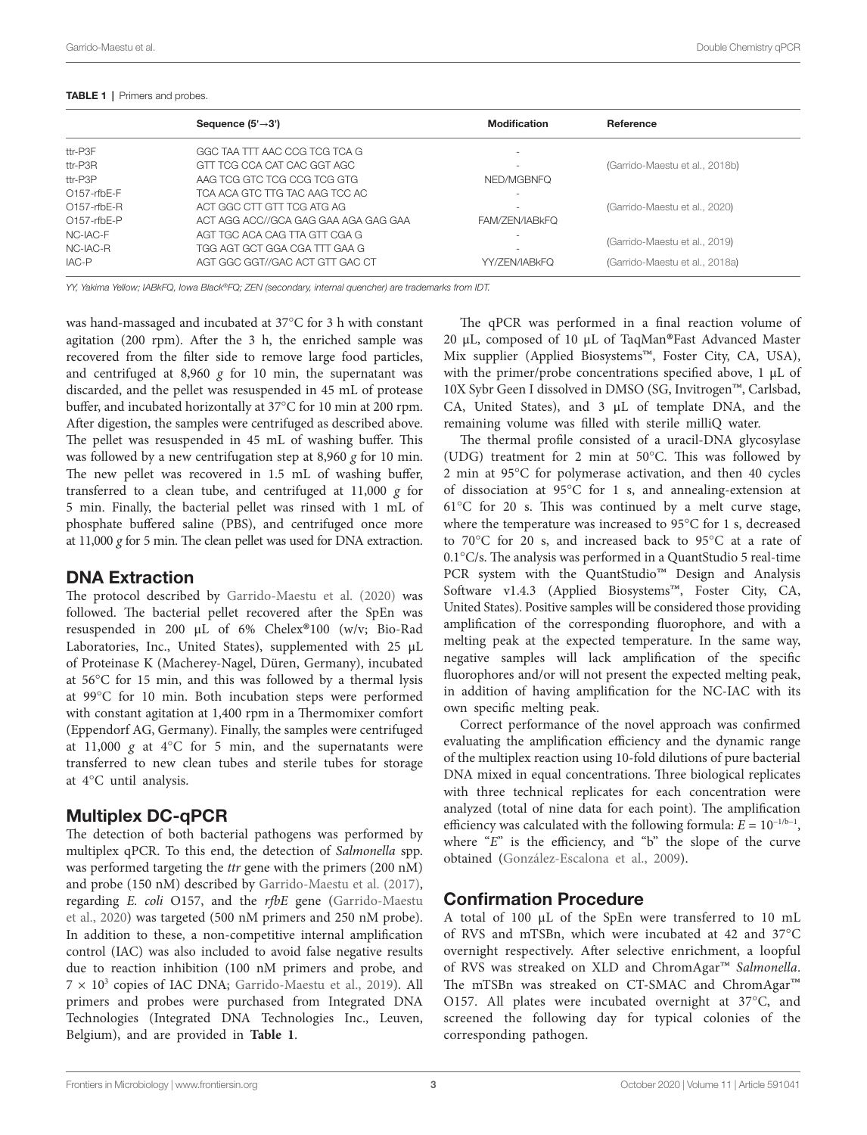|                | Sequence $(5' \rightarrow 3')$       | <b>Modification</b>      | Reference                      |  |
|----------------|--------------------------------------|--------------------------|--------------------------------|--|
| ttr-P3F        | GGC TAA TTT AAC CCG TCG TCA G        |                          |                                |  |
| ttr-P3R        | GTT TCG CCA CAT CAC GGT AGC          |                          | (Garrido-Maestu et al., 2018b) |  |
| ttr-P3P        | AAG TOG GTC TOG COG TOG GTG          | NED/MGBNFO               |                                |  |
| $O157$ -rfbE-F | TCA ACA GTC TTG TAC AAG TCC AC       | $\overline{\phantom{a}}$ |                                |  |
| $O157$ -rfbE-R | ACT GGC CTT GTT TCG ATG AG           |                          | (Garrido-Maestu et al., 2020)  |  |
| $O157$ -rfbE-P | ACT AGG ACC//GCA GAG GAA AGA GAG GAA | FAM/ZEN/IABKFO           |                                |  |
| NC-IAC-F       | AGT TGC ACA CAG TTA GTT CGA G        |                          |                                |  |
| NC-IAC-R       | TGG AGT GCT GGA CGA TTT GAA G        |                          | (Garrido-Maestu et al., 2019)  |  |
| IAC-P          | AGT GGC GGT//GAC ACT GTT GAC CT      | YY/ZEN/IABkFO            | (Garrido-Maestu et al., 2018a) |  |

#### <span id="page-2-0"></span>TABLE 1 | Primers and probes.

*YY, Yakima Yellow; IABkFQ, Iowa Black®FQ; ZEN (secondary, internal quencher) are trademarks from IDT.*

was hand-massaged and incubated at 37°C for 3 h with constant agitation (200 rpm). After the 3 h, the enriched sample was recovered from the filter side to remove large food particles, and centrifuged at  $8,960$  g for 10 min, the supernatant was discarded, and the pellet was resuspended in 45 mL of protease buffer, and incubated horizontally at 37°C for 10 min at 200 rpm. After digestion, the samples were centrifuged as described above. The pellet was resuspended in 45 mL of washing buffer. This was followed by a new centrifugation step at 8,960 *g* for 10 min. The new pellet was recovered in 1.5 mL of washing buffer, transferred to a clean tube, and centrifuged at 11,000 *g* for 5 min. Finally, the bacterial pellet was rinsed with 1 mL of phosphate buffered saline (PBS), and centrifuged once more at 11,000 *g* for 5 min. The clean pellet was used for DNA extraction.

# DNA Extraction

The protocol described by [Garrido-Maestu et al. \(2020\)](#page-7-14) was followed. The bacterial pellet recovered after the SpEn was resuspended in 200 <sup>μ</sup>L of 6% Chelex®100 (w/v; Bio-Rad Laboratories, Inc., United States), supplemented with 25 μL of Proteinase K (Macherey-Nagel, Düren, Germany), incubated at 56°C for 15 min, and this was followed by a thermal lysis at 99°C for 10 min. Both incubation steps were performed with constant agitation at 1,400 rpm in a Thermomixer comfort (Eppendorf AG, Germany). Finally, the samples were centrifuged at  $11,000$  g at  $4^{\circ}$ C for 5 min, and the supernatants were transferred to new clean tubes and sterile tubes for storage at 4°C until analysis.

# Multiplex DC-qPCR

The detection of both bacterial pathogens was performed by multiplex qPCR. To this end, the detection of *Salmonella* spp. was performed targeting the *ttr* gene with the primers (200 nM) and probe (150 nM) described by [Garrido-Maestu et al. \(2017\)](#page-7-15), regarding *E. coli* O157, and the *rfbE* gene ([Garrido-Maestu](#page-7-14)  [et al., 2020](#page-7-14)) was targeted (500 nM primers and 250 nM probe). In addition to these, a non-competitive internal amplification control (IAC) was also included to avoid false negative results due to reaction inhibition (100 nM primers and probe, and  $7 \times 10^3$  copies of IAC DNA; Garrido-Maestu et al., 2019). All primers and probes were purchased from Integrated DNA Technologies (Integrated DNA Technologies Inc., Leuven, Belgium), and are provided in **[Table 1](#page-2-0)**.

The qPCR was performed in a final reaction volume of <sup>20</sup> <sup>μ</sup>L, composed of 10 <sup>μ</sup>L of TaqMan®Fast Advanced Master Mix supplier (Applied Biosystems™, Foster City, CA, USA), with the primer/probe concentrations specified above, 1 μL of 10X Sybr Geen I dissolved in DMSO (SG, Invitrogen™, Carlsbad, CA, United States), and 3 μL of template DNA, and the remaining volume was filled with sterile milliQ water.

The thermal profile consisted of a uracil-DNA glycosylase (UDG) treatment for 2 min at 50°C. This was followed by 2 min at 95°C for polymerase activation, and then 40 cycles of dissociation at 95°C for 1 s, and annealing-extension at  $61^{\circ}$ C for 20 s. This was continued by a melt curve stage, where the temperature was increased to 95°C for 1 s, decreased to 70°C for 20 s, and increased back to 95°C at a rate of 0.1°C/s. The analysis was performed in a QuantStudio 5 real-time PCR system with the QuantStudio<sup>™</sup> Design and Analysis Software v1.4.3 (Applied Biosystems™, Foster City, CA, United States). Positive samples will be considered those providing amplification of the corresponding fluorophore, and with a melting peak at the expected temperature. In the same way, negative samples will lack amplification of the specific fluorophores and/or will not present the expected melting peak, in addition of having amplification for the NC-IAC with its own specific melting peak.

Correct performance of the novel approach was confirmed evaluating the amplification efficiency and the dynamic range of the multiplex reaction using 10-fold dilutions of pure bacterial DNA mixed in equal concentrations. Three biological replicates with three technical replicates for each concentration were analyzed (total of nine data for each point). The amplification efficiency was calculated with the following formula:  $E = 10^{-1/b-1}$ , where "*E*" is the efficiency, and "b" the slope of the curve obtained ([González-Escalona et al., 2009](#page-7-17)).

# Confirmation Procedure

A total of 100 μL of the SpEn were transferred to 10 mL of RVS and mTSBn, which were incubated at 42 and 37°C overnight respectively. After selective enrichment, a loopful of RVS was streaked on XLD and ChromAgar™ *Salmonella*. O157. All plates were incubated overnight at  $37^{\circ}$ C, and screened the following day for typical colonies of the corresponding pathogen.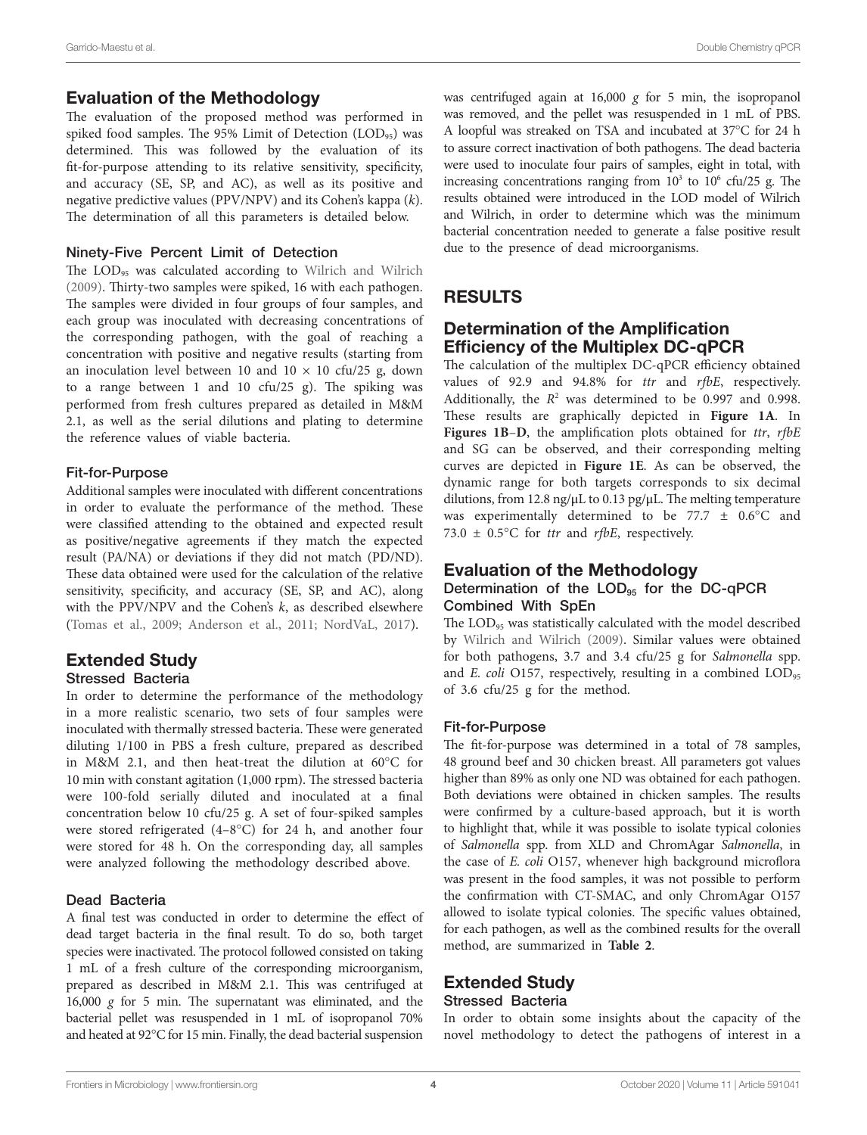# Evaluation of the Methodology

The evaluation of the proposed method was performed in spiked food samples. The 95% Limit of Detection  $(LOD_{95})$  was determined. This was followed by the evaluation of its fit-for-purpose attending to its relative sensitivity, specificity, and accuracy (SE, SP, and AC), as well as its positive and negative predictive values (PPV/NPV) and its Cohen's kappa (*k*). The determination of all this parameters is detailed below.

#### Ninety-Five Percent Limit of Detection

The LOD<sub>95</sub> was calculated according to Wilrich and Wilrich [\(2009\)](#page-7-20). Thirty-two samples were spiked, 16 with each pathogen. The samples were divided in four groups of four samples, and each group was inoculated with decreasing concentrations of the corresponding pathogen, with the goal of reaching a concentration with positive and negative results (starting from an inoculation level between 10 and  $10 \times 10$  cfu/25 g, down to a range between 1 and 10 cfu/25 g). The spiking was performed from fresh cultures prepared as detailed in M&M 2.1, as well as the serial dilutions and plating to determine the reference values of viable bacteria.

#### Fit-for-Purpose

Additional samples were inoculated with different concentrations in order to evaluate the performance of the method. These were classified attending to the obtained and expected result as positive/negative agreements if they match the expected result (PA/NA) or deviations if they did not match (PD/ND). These data obtained were used for the calculation of the relative sensitivity, specificity, and accuracy (SE, SP, and AC), along with the PPV/NPV and the Cohen's *k*, as described elsewhere ([Tomas et al., 2009;](#page-7-21) [Anderson et al., 2011;](#page-6-4) [NordVaL, 2017](#page-7-22)).

# Extended Study

#### Stressed Bacteria

In order to determine the performance of the methodology in a more realistic scenario, two sets of four samples were inoculated with thermally stressed bacteria. These were generated diluting 1/100 in PBS a fresh culture, prepared as described in M&M 2.1, and then heat-treat the dilution at 60°C for 10 min with constant agitation (1,000 rpm). The stressed bacteria were 100-fold serially diluted and inoculated at a final concentration below 10 cfu/25 g. A set of four-spiked samples were stored refrigerated (4–8°C) for 24 h, and another four were stored for 48 h. On the corresponding day, all samples were analyzed following the methodology described above.

## Dead Bacteria

A final test was conducted in order to determine the effect of dead target bacteria in the final result. To do so, both target species were inactivated. The protocol followed consisted on taking 1 mL of a fresh culture of the corresponding microorganism, prepared as described in M&M 2.1. This was centrifuged at 16,000 *g* for 5 min. The supernatant was eliminated, and the bacterial pellet was resuspended in 1 mL of isopropanol 70% and heated at 92°C for 15 min. Finally, the dead bacterial suspension was centrifuged again at 16,000 g for 5 min, the isopropanol was removed, and the pellet was resuspended in 1 mL of PBS. A loopful was streaked on TSA and incubated at 37°C for 24 h to assure correct inactivation of both pathogens. The dead bacteria were used to inoculate four pairs of samples, eight in total, with increasing concentrations ranging from  $10<sup>3</sup>$  to  $10<sup>6</sup>$  cfu/25 g. The results obtained were introduced in the LOD model of Wilrich and Wilrich, in order to determine which was the minimum bacterial concentration needed to generate a false positive result due to the presence of dead microorganisms.

# RESULTS

# Determination of the Amplification Efficiency of the Multiplex DC-qPCR

The calculation of the multiplex DC-qPCR efficiency obtained values of 92.9 and 94.8% for *ttr* and *rfbE*, respectively. Additionally, the  $R^2$  was determined to be 0.997 and 0.998. These results are graphically depicted in **[Figure 1A](#page-4-0)**. In **[Figures 1B](#page-4-0)**–**[D](#page-4-0)**, the amplification plots obtained for *ttr*, *rfbE* and SG can be observed, and their corresponding melting curves are depicted in **[Figure 1E](#page-4-0)**. As can be observed, the dynamic range for both targets corresponds to six decimal dilutions, from 12.8 ng/μL to 0.13 pg/μL. The melting temperature was experimentally determined to be  $77.7 \pm 0.6^{\circ}$ C and 73.0  $\pm$  0.5°C for *ttr* and *rfbE*, respectively.

# Evaluation of the Methodology Determination of the  $LOD_{95}$  for the DC-qPCR Combined With SpEn

The LOD<sub>95</sub> was statistically calculated with the model described by [Wilrich and Wilrich \(2009\)](#page-7-20). Similar values were obtained for both pathogens, 3.7 and 3.4 cfu/25 g for *Salmonella* spp. and *E. coli* O157, respectively, resulting in a combined LOD<sub>95</sub> of 3.6 cfu/25 g for the method.

#### Fit-for-Purpose

The fit-for-purpose was determined in a total of 78 samples, 48 ground beef and 30 chicken breast. All parameters got values higher than 89% as only one ND was obtained for each pathogen. Both deviations were obtained in chicken samples. The results were confirmed by a culture-based approach, but it is worth to highlight that, while it was possible to isolate typical colonies of *Salmonella* spp. from XLD and ChromAgar *Salmonella*, in the case of *E. coli* O157, whenever high background microflora was present in the food samples, it was not possible to perform the confirmation with CT-SMAC, and only ChromAgar O157 allowed to isolate typical colonies. The specific values obtained, for each pathogen, as well as the combined results for the overall method, are summarized in **[Table 2](#page-4-1)**.

# Extended Study

#### Stressed Bacteria

In order to obtain some insights about the capacity of the novel methodology to detect the pathogens of interest in a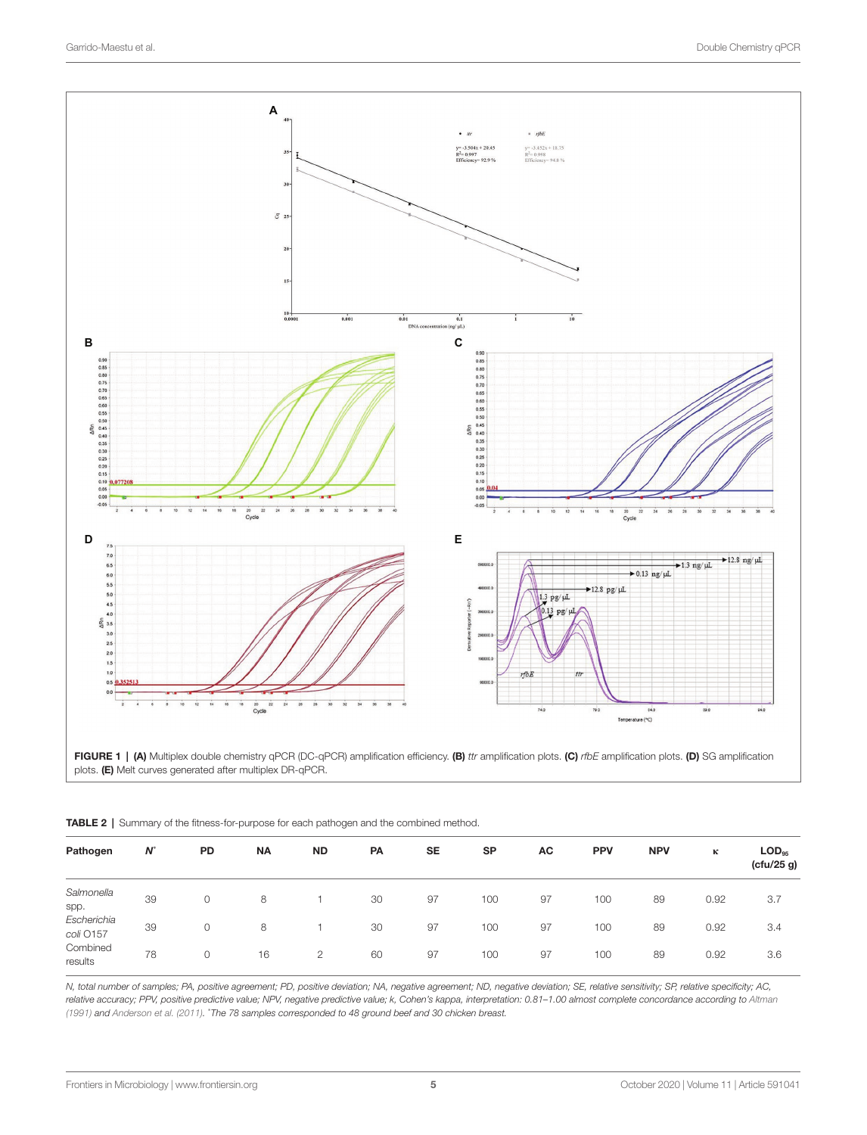<span id="page-4-0"></span>

FIGURE 1 | (A) Multiplex double chemistry qPCR (DC-qPCR) amplification efficiency. (B) *ttr* amplification plots. (C) *rfbE* amplification plots. (D) SG amplification plots. (E) Melt curves generated after multiplex DR-qPCR.

| Pathogen                 | $N^*$ | PD          | <b>NA</b> | <b>ND</b>      | PA | <b>SE</b> | <b>SP</b> | AC | <b>PPV</b> | <b>NPV</b> | к    | $\mathsf{LOD}_{\mathsf{q}\mathsf{s}}$<br>(ctu/25 g) |
|--------------------------|-------|-------------|-----------|----------------|----|-----------|-----------|----|------------|------------|------|-----------------------------------------------------|
| Salmonella<br>spp.       | 39    | 0           | 8         |                | 30 | 97        | 100       | 97 | 100        | 89         | 0.92 | 3.7                                                 |
| Escherichia<br>coli O157 | 39    | $\mathbf 0$ | 8         |                | 30 | 97        | 100       | 97 | 100        | 89         | 0.92 | 3.4                                                 |
| Combined<br>results      | 78    | $\mathbf 0$ | 16        | $\overline{2}$ | 60 | 97        | 100       | 97 | 100        | 89         | 0.92 | 3.6                                                 |

<span id="page-4-1"></span>TABLE 2 | Summary of the fitness-for-purpose for each pathogen and the combined method.

*N, total number of samples; PA, positive agreement; PD, positive deviation; NA, negative agreement; ND, negative deviation; SE, relative sensitivity; SP, relative specificity; AC,*  relative accuracy; PPV, positive predictive value; NPV, negative predictive value; k, Cohen's kappa, interpretation: 0.81-1.00 almost complete concordance according to Altman *[\(1991\)](#page-6-5) and [Anderson et al. \(2011\)](#page-6-4).* \* *The 78 samples corresponded to 48 ground beef and 30 chicken breast.*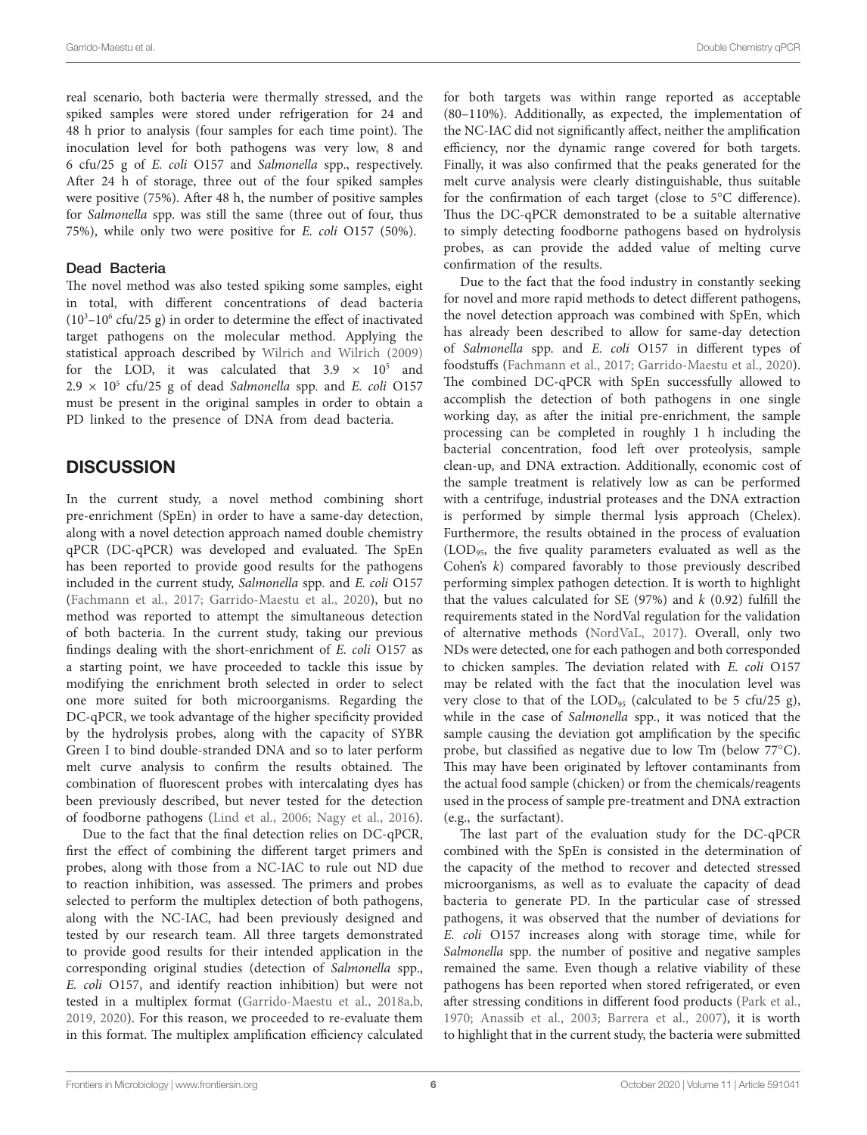real scenario, both bacteria were thermally stressed, and the spiked samples were stored under refrigeration for 24 and 48 h prior to analysis (four samples for each time point). The inoculation level for both pathogens was very low, 8 and 6 cfu/25 g of *E. coli* O157 and *Salmonella* spp., respectively. After 24 h of storage, three out of the four spiked samples were positive (75%). After 48 h, the number of positive samples for *Salmonella* spp. was still the same (three out of four, thus 75%), while only two were positive for *E. coli* O157 (50%).

### Dead Bacteria

The novel method was also tested spiking some samples, eight in total, with different concentrations of dead bacteria  $(10<sup>3</sup> - 10<sup>6</sup>$  cfu/25 g) in order to determine the effect of inactivated target pathogens on the molecular method. Applying the statistical approach described by [Wilrich and Wilrich \(2009\)](#page-7-20) for the LOD, it was calculated that  $3.9 \times 10^5$  and  $2.9 \times 10^5$  cfu/25 g of dead *Salmonella* spp. and *E. coli* O157 must be present in the original samples in order to obtain a PD linked to the presence of DNA from dead bacteria.

# **DISCUSSION**

In the current study, a novel method combining short pre-enrichment (SpEn) in order to have a same-day detection, along with a novel detection approach named double chemistry qPCR (DC-qPCR) was developed and evaluated. The SpEn has been reported to provide good results for the pathogens included in the current study, *Salmonella* spp. and *E. coli* O157 ([Fachmann et al., 2017;](#page-7-13) [Garrido-Maestu et al., 2020](#page-7-14)), but no method was reported to attempt the simultaneous detection of both bacteria. In the current study, taking our previous findings dealing with the short-enrichment of *E. coli* O157 as a starting point, we have proceeded to tackle this issue by modifying the enrichment broth selected in order to select one more suited for both microorganisms. Regarding the DC-qPCR, we took advantage of the higher specificity provided by the hydrolysis probes, along with the capacity of SYBR Green I to bind double-stranded DNA and so to later perform melt curve analysis to confirm the results obtained. The combination of fluorescent probes with intercalating dyes has been previously described, but never tested for the detection of foodborne pathogens [\(Lind et al., 2006;](#page-7-23) [Nagy et al., 2016](#page-7-24)).

Due to the fact that the final detection relies on DC-qPCR, first the effect of combining the different target primers and probes, along with those from a NC-IAC to rule out ND due to reaction inhibition, was assessed. The primers and probes selected to perform the multiplex detection of both pathogens, along with the NC-IAC, had been previously designed and tested by our research team. All three targets demonstrated to provide good results for their intended application in the corresponding original studies (detection of *Salmonella* spp., *E. coli* O157, and identify reaction inhibition) but were not tested in a multiplex format ([Garrido-Maestu et al., 2018a,](#page-7-19)[b](#page-7-18), [2019,](#page-7-16) [2020](#page-7-14)). For this reason, we proceeded to re-evaluate them in this format. The multiplex amplification efficiency calculated

for both targets was within range reported as acceptable (80–110%). Additionally, as expected, the implementation of the NC-IAC did not significantly affect, neither the amplification efficiency, nor the dynamic range covered for both targets. Finally, it was also confirmed that the peaks generated for the melt curve analysis were clearly distinguishable, thus suitable for the confirmation of each target (close to 5°C difference). Thus the DC-qPCR demonstrated to be a suitable alternative to simply detecting foodborne pathogens based on hydrolysis probes, as can provide the added value of melting curve confirmation of the results.

Due to the fact that the food industry in constantly seeking for novel and more rapid methods to detect different pathogens, the novel detection approach was combined with SpEn, which has already been described to allow for same-day detection of *Salmonella* spp. and *E. coli* O157 in different types of foodstuffs ([Fachmann et al., 2017](#page-7-13); [Garrido-Maestu et al., 2020](#page-7-14)). The combined DC-qPCR with SpEn successfully allowed to accomplish the detection of both pathogens in one single working day, as after the initial pre-enrichment, the sample processing can be completed in roughly 1 h including the bacterial concentration, food left over proteolysis, sample clean-up, and DNA extraction. Additionally, economic cost of the sample treatment is relatively low as can be performed with a centrifuge, industrial proteases and the DNA extraction is performed by simple thermal lysis approach (Chelex). Furthermore, the results obtained in the process of evaluation (LOD95, the five quality parameters evaluated as well as the Cohen's *k*) compared favorably to those previously described performing simplex pathogen detection. It is worth to highlight that the values calculated for SE (97%) and *k* (0.92) fulfill the requirements stated in the NordVal regulation for the validation of alternative methods [\(NordVaL, 2017](#page-7-22)). Overall, only two NDs were detected, one for each pathogen and both corresponded to chicken samples. The deviation related with *E. coli* O157 may be related with the fact that the inoculation level was very close to that of the  $\text{LOD}_{95}$  (calculated to be 5 cfu/25 g), while in the case of *Salmonella* spp., it was noticed that the sample causing the deviation got amplification by the specific probe, but classified as negative due to low Tm (below 77°C). This may have been originated by leftover contaminants from the actual food sample (chicken) or from the chemicals/reagents used in the process of sample pre-treatment and DNA extraction (e.g., the surfactant).

The last part of the evaluation study for the DC-qPCR combined with the SpEn is consisted in the determination of the capacity of the method to recover and detected stressed microorganisms, as well as to evaluate the capacity of dead bacteria to generate PD. In the particular case of stressed pathogens, it was observed that the number of deviations for *E. coli* O157 increases along with storage time, while for *Salmonella* spp. the number of positive and negative samples remained the same. Even though a relative viability of these pathogens has been reported when stored refrigerated, or even after stressing conditions in different food products [\(Park et al.,](#page-7-25)  [1970;](#page-7-25) [Anassib et al., 2003](#page-6-6); [Barrera et al., 2007](#page-6-7)), it is worth to highlight that in the current study, the bacteria were submitted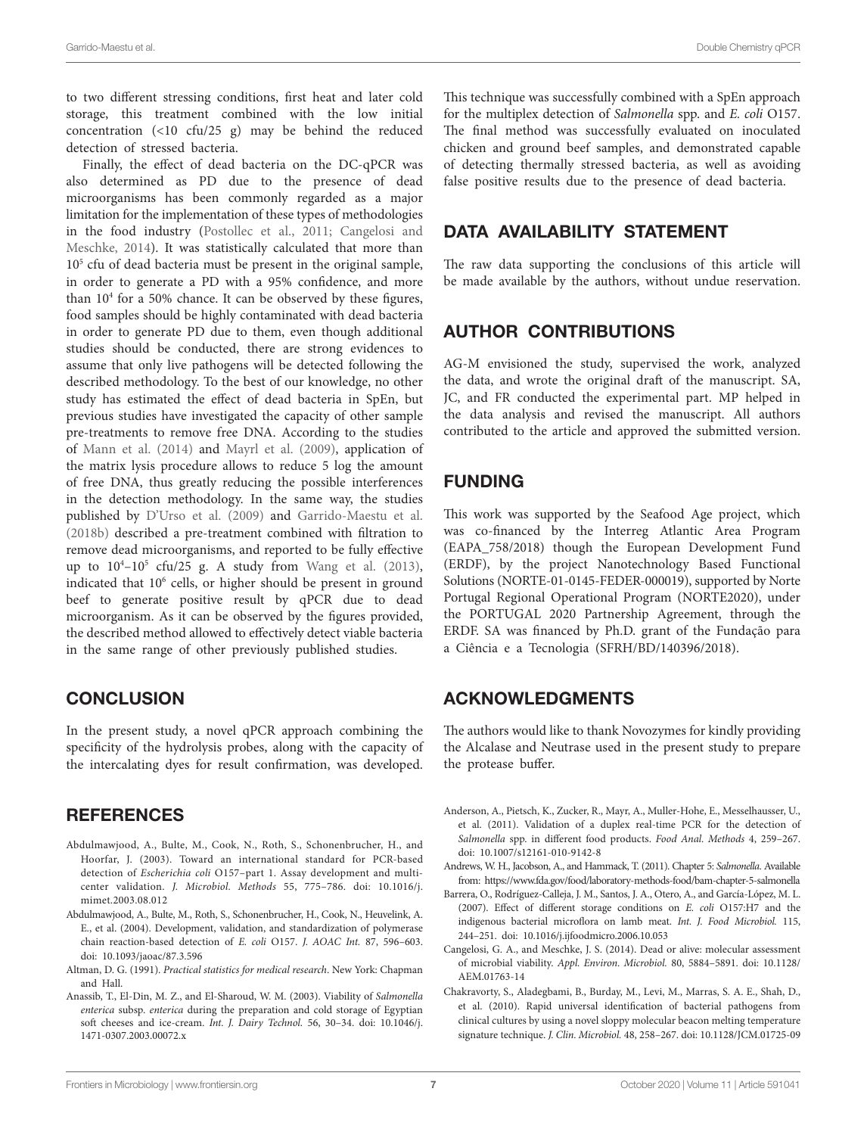to two different stressing conditions, first heat and later cold storage, this treatment combined with the low initial concentration  $(\langle 10 \text{ cfu}/25 \text{ g})$  may be behind the reduced detection of stressed bacteria.

Finally, the effect of dead bacteria on the DC-qPCR was also determined as PD due to the presence of dead microorganisms has been commonly regarded as a major limitation for the implementation of these types of methodologies in the food industry ([Postollec et al., 2011](#page-7-26); [Cangelosi and](#page-6-8)  [Meschke, 2014](#page-6-8)). It was statistically calculated that more than 105 cfu of dead bacteria must be present in the original sample, in order to generate a PD with a 95% confidence, and more than 10<sup>4</sup> for a 50% chance. It can be observed by these figures, food samples should be highly contaminated with dead bacteria in order to generate PD due to them, even though additional studies should be conducted, there are strong evidences to assume that only live pathogens will be detected following the described methodology. To the best of our knowledge, no other study has estimated the effect of dead bacteria in SpEn, but previous studies have investigated the capacity of other sample pre-treatments to remove free DNA. According to the studies of [Mann et al. \(2014\)](#page-7-27) and [Mayrl et al. \(2009\)](#page-7-28), application of the matrix lysis procedure allows to reduce 5 log the amount of free DNA, thus greatly reducing the possible interferences in the detection methodology. In the same way, the studies published by [D'Urso et al. \(2009\)](#page-7-29) and [Garrido-Maestu et al.](#page-7-18)  [\(2018b\)](#page-7-18) described a pre-treatment combined with filtration to remove dead microorganisms, and reported to be fully effective up to  $10^4$ - $10^5$  cfu/25 g. A study from Wang et al. (2013), indicated that 10<sup>6</sup> cells, or higher should be present in ground beef to generate positive result by qPCR due to dead microorganism. As it can be observed by the figures provided, the described method allowed to effectively detect viable bacteria in the same range of other previously published studies.

# **CONCLUSION**

In the present study, a novel qPCR approach combining the specificity of the hydrolysis probes, along with the capacity of the intercalating dyes for result confirmation, was developed.

## **REFERENCES**

- <span id="page-6-2"></span>Abdulmawjood, A., Bulte, M., Cook, N., Roth, S., Schonenbrucher, H., and Hoorfar, J. (2003). Toward an international standard for PCR-based detection of *Escherichia coli* O157–part 1. Assay development and multicenter validation. *J. Microbiol. Methods* 55, 775–786. doi: [10.1016/j.](https://doi.org/10.1016/j.mimet.2003.08.012) [mimet.2003.08.012](https://doi.org/10.1016/j.mimet.2003.08.012)
- <span id="page-6-3"></span>Abdulmawjood, A., Bulte, M., Roth, S., Schonenbrucher, H., Cook, N., Heuvelink, A. E., et al. (2004). Development, validation, and standardization of polymerase chain reaction-based detection of *E. coli* O157. *J. AOAC Int.* 87, 596–603. doi: [10.1093/jaoac/87.3.596](https://doi.org/10.1093/jaoac/87.3.596)
- <span id="page-6-5"></span>Altman, D. G. (1991). *Practical statistics for medical research*. New York: Chapman and Hall.
- <span id="page-6-6"></span>Anassib, T., El-Din, M. Z., and El-Sharoud, W. M. (2003). Viability of *Salmonella enterica* subsp. *enterica* during the preparation and cold storage of Egyptian soft cheeses and ice-cream. *Int. J. Dairy Technol.* 56, 30–34. doi: [10.1046/j.](https://doi.org/10.1046/j.1471-0307.2003.00072.x) [1471-0307.2003.00072.x](https://doi.org/10.1046/j.1471-0307.2003.00072.x)

This technique was successfully combined with a SpEn approach for the multiplex detection of *Salmonella* spp. and *E. coli* O157. The final method was successfully evaluated on inoculated chicken and ground beef samples, and demonstrated capable of detecting thermally stressed bacteria, as well as avoiding false positive results due to the presence of dead bacteria.

# DATA AVAILABILITY STATEMENT

The raw data supporting the conclusions of this article will be made available by the authors, without undue reservation.

# AUTHOR CONTRIBUTIONS

AG-M envisioned the study, supervised the work, analyzed the data, and wrote the original draft of the manuscript. SA, JC, and FR conducted the experimental part. MP helped in the data analysis and revised the manuscript. All authors contributed to the article and approved the submitted version.

# FUNDING

This work was supported by the Seafood Age project, which was co-financed by the Interreg Atlantic Area Program (EAPA\_758/2018) though the European Development Fund (ERDF), by the project Nanotechnology Based Functional Solutions (NORTE-01-0145-FEDER-000019), supported by Norte Portugal Regional Operational Program (NORTE2020), under the PORTUGAL 2020 Partnership Agreement, through the ERDF. SA was financed by Ph.D. grant of the Fundação para a Ciência e a Tecnologia (SFRH/BD/140396/2018).

# ACKNOWLEDGMENTS

The authors would like to thank Novozymes for kindly providing the Alcalase and Neutrase used in the present study to prepare the protease buffer.

- <span id="page-6-4"></span>Anderson, A., Pietsch, K., Zucker, R., Mayr, A., Muller-Hohe, E., Messelhausser, U., et al. (2011). Validation of a duplex real-time PCR for the detection of *Salmonella* spp. in different food products. *Food Anal. Methods* 4, 259–267. doi: [10.1007/s12161-010-9142-8](https://doi.org/10.1007/s12161-010-9142-8)
- <span id="page-6-1"></span>Andrews, W. H., Jacobson, A., and Hammack, T. (2011). Chapter 5: *Salmonella*. Available from: <https://www.fda.gov/food/laboratory-methods-food/bam-chapter-5-salmonella>
- <span id="page-6-7"></span>Barrera, O., Rodríguez-Calleja, J. M., Santos, J. A., Otero, A., and García-López, M. L. (2007). Effect of different storage conditions on *E. coli* O157:H7 and the indigenous bacterial microflora on lamb meat. *Int. J. Food Microbiol.* 115, 244–251. doi: [10.1016/j.ijfoodmicro.2006.10.053](https://doi.org/10.1016/j.ijfoodmicro.2006.10.053)
- <span id="page-6-8"></span>Cangelosi, G. A., and Meschke, J. S. (2014). Dead or alive: molecular assessment of microbial viability. *Appl. Environ. Microbiol.* 80, 5884–5891. doi: [10.1128/](https://doi.org/10.1128/AEM.01763-14) [AEM.01763-14](https://doi.org/10.1128/AEM.01763-14)
- <span id="page-6-0"></span>Chakravorty, S., Aladegbami, B., Burday, M., Levi, M., Marras, S. A. E., Shah, D., et al. (2010). Rapid universal identification of bacterial pathogens from clinical cultures by using a novel sloppy molecular beacon melting temperature signature technique. *J. Clin. Microbiol.* 48, 258–267. doi: [10.1128/JCM.01725-09](https://doi.org/10.1128/JCM.01725-09)